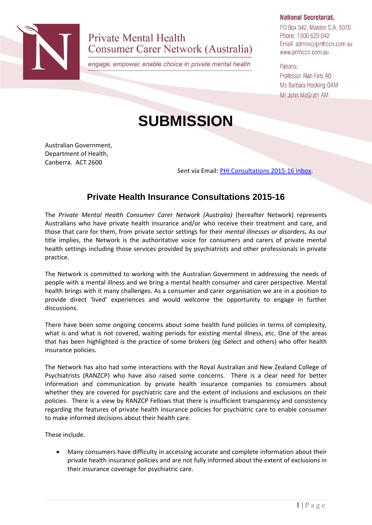

**Private Mental Health Consumer Carer Network (Australia)** 

engage, empower, enable choice in private mental health

## **National Secretariat,**

PO Box 542, Marden S.A. 5070 Phone: 1300 620 042 Email: admin@pmhccn.com.au www.pmhccn.com.au

Patrons: Professor Alan Fels AO Ms Barbara Hocking OAM Mr John McGrath AM

## **SUBMISSION**

Australian Government, Department of Health, Canberra. ACT 2600

Sent via Email: [PHI Consultations 2015-16 inbox.](mailto:phiconsultations2015-16@health.gov.au)

## **Private Health Insurance Consultations 2015-16**

The *Private Mental Health Consumer Carer Network (Australia)* (hereafter Network) represents Australians who have private health insurance and/or who receive their treatment and care, and those that care for them, from private sector settings for their *mental illnesses or disorders.* As our title implies, the Network is the authoritative voice for consumers and carers of private mental health settings including those services provided by psychiatrists and other professionals in private practice.

The Network is committed to working with the Australian Government in addressing the needs of people with a mental illness and we bring a mental health consumer and carer perspective. Mental health brings with it many challenges. As a consumer and carer organisation we are in a position to provide direct 'lived' experiences and would welcome the opportunity to engage in further discussions.

There have been some ongoing concerns about some health fund policies in terms of complexity, what is and what is not covered, waiting periods for existing mental illness, etc. One of the areas that has been highlighted is the practice of some brokers (eg iSelect and others) who offer health insurance policies.

The Network has also had some interactions with the Royal Australian and New Zealand College of Psychiatrists (RANZCP) who have also raised some concerns. There is a clear need for better information and communication by private health insurance companies to consumers about whether they are covered for psychiatric care and the extent of inclusions and exclusions on their policies. There is a view by RANZCP Fellows that there is insufficient transparency and consistency regarding the features of private health insurance policies for psychiatric care to enable consumer to make informed decisions about their health care.

These include.

 Many consumers have difficulty in accessing accurate and complete information about their private health insurance policies and are not fully informed about the extent of exclusions in their insurance coverage for psychiatric care.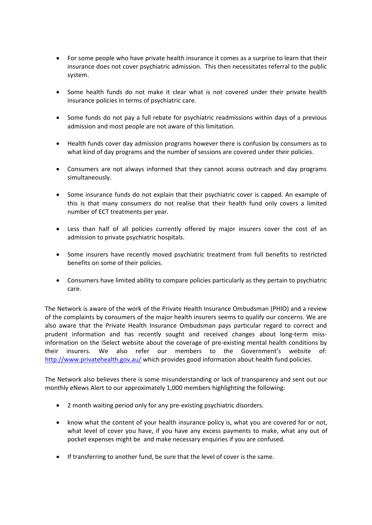- For some people who have private health insurance it comes as a surprise to learn that their insurance does not cover psychiatric admission. This then necessitates referral to the public system.
- Some health funds do not make it clear what is not covered under their private health insurance policies in terms of psychiatric care.
- Some funds do not pay a full rebate for psychiatric readmissions within days of a previous admission and most people are not aware of this limitation.
- Health funds cover day admission programs however there is confusion by consumers as to what kind of day programs and the number of sessions are covered under their policies.
- Consumers are not always informed that they cannot access outreach and day programs simultaneously.
- Some insurance funds do not explain that their psychiatric cover is capped. An example of this is that many consumers do not realise that their health fund only covers a limited number of ECT treatments per year.
- Less than half of all policies currently offered by major insurers cover the cost of an admission to private psychiatric hospitals.
- Some insurers have recently moved psychiatric treatment from full benefits to restricted benefits on some of their policies.
- Consumers have limited ability to compare policies particularly as they pertain to psychiatric care.

The Network is aware of the work of the Private Health Insurance Ombudsman (PHIO) and a review of the complaints by consumers of the major health insurers seems to qualify our concerns. We are also aware that the Private Health Insurance Ombudsman pays particular regard to correct and prudent information and has recently sought and received changes about long-term missinformation on the iSelect website about the coverage of pre-existing mental health conditions by their insurers. We also refer our members to the Government's website of: <http://www.privatehealth.gov.au/> which provides good information about health fund policies.

The Network also believes there is some misunderstanding or lack of transparency and sent out our monthly eNews Alert to our approximately 1,000 members highlighting the following:

- 2 month waiting period only for any pre-existing psychiatric disorders.
- know what the content of your health insurance policy is, what you are covered for or not, what level of cover you have, if you have any excess payments to make, what any out of pocket expenses might be and make necessary enquiries if you are confused.
- If transferring to another fund, be sure that the level of cover is the same.